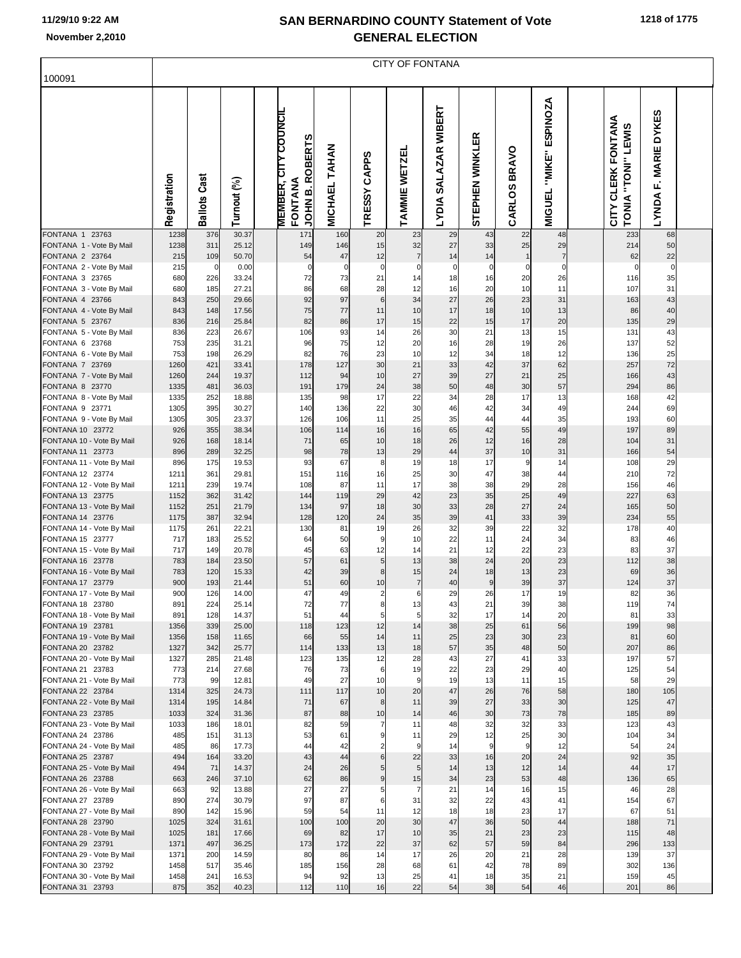$\overline{\phantom{a}}$ 

 $\lceil$ 

### **SAN BERNARDINO COUNTY Statement of Vote**

| <b>GENERAL ELECTION</b> |  |
|-------------------------|--|
| CITY OF FONTANA         |  |

| 100091                                        |              |                        |                |                                                                               |               |                               |                     |                          |                        |                        |                                     |                                          |                         |  |
|-----------------------------------------------|--------------|------------------------|----------------|-------------------------------------------------------------------------------|---------------|-------------------------------|---------------------|--------------------------|------------------------|------------------------|-------------------------------------|------------------------------------------|-------------------------|--|
|                                               | Registration | Cast<br><b>Ballots</b> | Turnout (%)    | <b>MEMBER, CITY COUNCIL</b><br><b>ROBERTS</b><br>FONTANA<br>JOHN <sub>B</sub> | MICHAEL TAHAN | <b>CAPPS</b><br><b>TRESSY</b> | TAMMIE WETZEL       | SALAZAR WIBERT<br>LYDIA: | <b>STEPHEN WINKLER</b> | <b>BRAVO</b><br>CARLOS | ESPINOZA<br>"MIKE"<br><b>MIGUEL</b> | CITY CLERK FONTANA<br>TONIA "TONI" LEWIS | F. MARIE DYKES<br>LYNDA |  |
| FONTANA 1 23763<br>FONTANA 1 - Vote By Mail   | 1238<br>1238 | 376<br>311             | 30.37<br>25.12 | 171<br>149                                                                    | 160<br>146    | 20<br>15                      | 23<br>32            | 29<br>27                 | 43<br>33               | 22<br>25               | 48<br>29                            | 233<br>214                               | 68<br>50                |  |
| FONTANA 2 23764                               | 215          | 109                    | 50.70          | 54                                                                            | 47            | 12                            | $\overline{7}$      | 14                       | 14                     |                        | 7                                   | 62                                       | 22                      |  |
| FONTANA 2 - Vote By Mail<br>FONTANA 3 23765   | 215<br>680   | $\mathbf 0$<br>226     | 0.00<br>33.24  | $\mathbf 0$<br>72                                                             | 0<br>73       | $\Omega$<br>21                | $\Omega$<br>14      | $\Omega$<br>18           | $\Omega$<br>16         | 0<br>20                | 0<br>26                             | $\mathbf 0$<br>116                       | $\Omega$<br>35          |  |
| FONTANA 3 - Vote By Mail                      | 680          | 185                    | 27.21          | 86                                                                            | 68            | 28                            | 12                  | 16                       | 20                     | 10                     | 11                                  | 107                                      | 31                      |  |
| FONTANA 4 23766                               | 843          | 250                    | 29.66          | 92                                                                            | 97            | 6                             | 34                  | 27                       | 26                     | 23                     | 31                                  | 163                                      | 43                      |  |
| FONTANA 4 - Vote By Mail                      | 843          | 148                    | 17.56          | 75                                                                            | 77            | 11                            | 10                  | 17                       | 18                     | 10                     | 13                                  | 86                                       | 40                      |  |
| FONTANA 5 23767<br>FONTANA 5 - Vote By Mail   | 836<br>836   | 216<br>223             | 25.84<br>26.67 | 82<br>106                                                                     | 86<br>93      | 17<br>14                      | 15<br>26            | 22<br>30                 | 15<br>21               | 17<br>13               | 20<br>15                            | 135<br>131                               | 29<br>43                |  |
| FONTANA 6 23768                               | 753          | 235                    | 31.21          | 96                                                                            | 75            | 12                            | 20                  | 16                       | 28                     | 19                     | 26                                  | 137                                      | 52                      |  |
| FONTANA 6 - Vote By Mail                      | 753          | 198                    | 26.29          | 82                                                                            | 76            | 23                            | 10                  | 12                       | 34                     | 18                     | 12                                  | 136                                      | 25                      |  |
| FONTANA 7 23769                               | 1260         | 421                    | 33.41          | 178                                                                           | 127           | 30                            | 21                  | 33                       | 42                     | 37                     | 62                                  | 257                                      | 72                      |  |
| FONTANA 7 - Vote By Mail<br>FONTANA 8 23770   | 1260<br>1335 | 244<br>481             | 19.37<br>36.03 | 112<br>191                                                                    | 94<br>179     | 10<br>24                      | 27<br>38            | 39<br>50                 | 27<br>48               | 21<br>30               | 25<br>57                            | 166<br>294                               | 43<br>86                |  |
| FONTANA 8 - Vote By Mail                      | 1335         | 252                    | 18.88          | 135                                                                           | 98            | 17                            | 22                  | 34                       | 28                     | 17                     | 13                                  | 168                                      | 42                      |  |
| FONTANA 9 23771                               | 1305         | 395                    | 30.27          | 140                                                                           | 136           | 22                            | 30                  | 46                       | 42                     | 34                     | 49                                  | 244                                      | 69                      |  |
| FONTANA 9 - Vote By Mail                      | 1305         | 305<br>355             | 23.37          | 126                                                                           | 106           | 11                            | 25                  | 35                       | 44                     | 44                     | 35                                  | 193<br>197                               | 60                      |  |
| FONTANA 10 23772<br>FONTANA 10 - Vote By Mail | 926<br>926   | 168                    | 38.34<br>18.14 | 106<br>71                                                                     | 114<br>65     | 16<br>10                      | 16<br>18            | 65<br>26                 | 42<br>12               | 55<br>16               | 49<br>28                            | 104                                      | 89<br>31                |  |
| FONTANA 11 23773                              | 896          | 289                    | 32.25          | 98                                                                            | 78            | 13                            | 29                  | 44                       | 37                     | 10                     | 31                                  | 166                                      | 54                      |  |
| FONTANA 11 - Vote By Mail                     | 896          | 175                    | 19.53          | 93                                                                            | 67            | 8                             | 19                  | 18                       | 17                     | 9                      | 14                                  | 108                                      | 29                      |  |
| FONTANA 12 23774<br>FONTANA 12 - Vote By Mail | 1211<br>1211 | 361<br>239             | 29.81<br>19.74 | 151<br>108                                                                    | 116<br>87     | 16<br>11                      | 25<br>17            | 30<br>38                 | 47<br>38               | 38<br>29               | 44<br>28                            | 210<br>156                               | 72<br>46                |  |
| FONTANA 13 23775                              | 1152         | 362                    | 31.42          | 144                                                                           | 119           | 29                            | 42                  | 23                       | 35                     | 25                     | 49                                  | 227                                      | 63                      |  |
| FONTANA 13 - Vote By Mail                     | 1152         | 251                    | 21.79          | 134                                                                           | 97            | 18                            | 30                  | 33                       | 28                     | 27                     | 24                                  | 165                                      | 50                      |  |
| FONTANA 14 23776                              | 1175         | 387                    | 32.94          | 128                                                                           | 120           | 24                            | 35                  | 39                       | 41                     | 33                     | 39                                  | 234                                      | 55                      |  |
| FONTANA 14 - Vote By Mail<br>FONTANA 15 23777 | 1175<br>717  | 261<br>183             | 22.21<br>25.52 | 130<br>64                                                                     | 81<br>50      | 19<br>9                       | 26<br>10            | 32<br>22                 | 39<br>11               | 22<br>24               | 32<br>34                            | 178<br>83                                | 40<br>46                |  |
| FONTANA 15 - Vote By Mail                     | 717          | 149                    | 20.78          | 45                                                                            | 63            | 12                            | 14                  | 21                       | 12                     | 22                     | 23                                  | 83                                       | 37                      |  |
| FONTANA 16 23778                              | 783          | 184                    | 23.50          | 57                                                                            | 61            | 5                             | 13                  | 38                       | 24                     | 20                     | 23                                  | 112                                      | 38                      |  |
| FONTANA 16 - Vote By Mail                     | 783          | 120                    | 15.33          | 42                                                                            | 39            | 8                             | 15                  | 24                       | 18                     | 13                     | 23                                  | 69                                       | 36                      |  |
| FONTANA 17 23779<br>FONTANA 17 - Vote By Mail | 900<br>900   | 193<br>126             | 21.44<br>14.00 | 51<br>47                                                                      | 60<br>49      | 10                            | $\overline{7}$<br>6 | 40<br>29                 | 9<br>26                | 39<br>17               | 37<br>19                            | 124<br>82                                | 37<br>36                |  |
| FONTANA 18 23780                              | 891          | 224                    | 25.14          | 72                                                                            | 77            | 8                             | 13                  | 43                       | 21                     | 39                     | 38                                  | 119                                      | 74                      |  |
| FONTANA 18 - Vote By Mail                     | 891          | 128                    | 14.37          | 51                                                                            |               |                               |                     | 32                       | 17                     | 14                     | 20                                  | 81                                       | 33                      |  |
| FONTANA 19 23781<br>FONTANA 19 - Vote By Mail | 1356<br>1356 | 339<br>158             | 25.00<br>11.65 | 118<br>66                                                                     | 123<br>55     | 12<br>14                      | 14<br>11            | 38<br>25                 | 25<br>23               | 61<br>30               | 56<br>23                            | 199<br>81                                | 98<br>60                |  |
| FONTANA 20 23782                              | 1327         | 342                    | 25.77          | 114                                                                           | 133           | 13                            | 18                  | 57                       | 35                     | 48                     | 50                                  | 207                                      | 86                      |  |
| FONTANA 20 - Vote By Mail                     | 1327         | 285                    | 21.48          | 123                                                                           | 135           | 12                            | 28                  | 43                       | 27                     | 41                     | 33                                  | 197                                      | 57                      |  |
| FONTANA 21 23783                              | 773          | 214                    | 27.68          | 76                                                                            | 73            | 6                             | 19                  | 22                       | 23                     | 29                     | 40                                  | 125                                      | 54                      |  |
| FONTANA 21 - Vote By Mail<br>FONTANA 22 23784 | 773<br>1314  | 99<br>325              | 12.81<br>24.73 | 49<br>111                                                                     | 27<br>117     | 10<br>10                      | 9<br>20             | 19<br>47                 | 13<br>26               | 11<br>76               | 15<br>58                            | 58<br>180                                | 29<br>105               |  |
| FONTANA 22 - Vote By Mail                     | 1314         | 195                    | 14.84          | 71                                                                            | 67            | 8                             | 11                  | 39                       | 27                     | 33                     | 30                                  | 125                                      | 47                      |  |
| FONTANA 23 23785                              | 1033         | 324                    | 31.36          | 87                                                                            | 88            | 10                            | 14                  | 46                       | 30                     | 73                     | 78                                  | 185                                      | 89                      |  |
| FONTANA 23 - Vote By Mail<br>FONTANA 24 23786 | 1033<br>485  | 186<br>151             | 18.01<br>31.13 | 82<br>53                                                                      | 59<br>61      |                               | 11<br>11            | 48<br>29                 | 32<br>12               | 32<br>25               | 33<br>30                            | 123<br>104                               | 43<br>34                |  |
| FONTANA 24 - Vote By Mail                     | 485          | 86                     | 17.73          | 44                                                                            | 42            |                               | 9                   | 14                       | 9                      | 9                      | 12                                  | 54                                       | 24                      |  |
| FONTANA 25 23787                              | 494          | 164                    | 33.20          | 43                                                                            | 44            | 6                             | 22                  | 33                       | 16                     | 20                     | 24                                  | 92                                       | 35                      |  |
| FONTANA 25 - Vote By Mail                     | 494          | 71                     | 14.37          | 24                                                                            | 26            |                               | 5                   | 14                       | 13                     | 12                     | 14                                  | 44                                       | 17                      |  |
| FONTANA 26 23788<br>FONTANA 26 - Vote By Mail | 663<br>663   | 246<br>92              | 37.10<br>13.88 | 62<br>27                                                                      | 86<br>27      | 9<br>5                        | 15                  | 34<br>21                 | 23<br>14               | 53<br>16               | 48<br>15                            | 136<br>46                                | 65<br>28                |  |
| FONTANA 27 23789                              | 890          | 274                    | 30.79          | 97                                                                            | 87            | 6                             | 31                  | 32                       | 22                     | 43                     | 41                                  | 154                                      | 67                      |  |
| FONTANA 27 - Vote By Mail                     | 890          | 142                    | 15.96          | 59                                                                            | 54            | 11                            | 12                  | 18                       | 18                     | 23                     | 17                                  | 67                                       | 51                      |  |
| FONTANA 28 23790                              | 1025         | 324                    | 31.61          | 100                                                                           | 100           | 20                            | 30                  | 47                       | 36                     | 50                     | 44                                  | 188                                      | 71                      |  |
| FONTANA 28 - Vote By Mail<br>FONTANA 29 23791 | 1025<br>1371 | 181<br>497             | 17.66<br>36.25 | 69<br>173                                                                     | 82<br>172     | 17<br>22                      | 10<br>37            | 35<br>62                 | 21<br>57               | 23<br>59               | 23<br>84                            | 115<br>296                               | 48<br>133               |  |
| FONTANA 29 - Vote By Mail                     | 1371         | 200                    | 14.59          | 80                                                                            | 86            | 14                            | 17                  | 26                       | 20                     | 21                     | 28                                  | 139                                      | 37                      |  |
| FONTANA 30 23792                              | 1458         | 517                    | 35.46          | 185                                                                           | 156           | 28                            | 68                  | 61                       | 42                     | 78                     | 89                                  | 302                                      | 136                     |  |
| FONTANA 30 - Vote By Mail<br>FONTANA 31 23793 | 1458<br>875  | 241<br>352             | 16.53          | 94<br>112                                                                     | 92<br>110     | 13                            | 25<br>22            | 41<br>54                 | 18<br>38               | 35<br>54               | 21                                  | 159<br>201                               | 45                      |  |
|                                               |              |                        | 40.23          |                                                                               |               | 16                            |                     |                          |                        |                        | 46                                  |                                          | 86                      |  |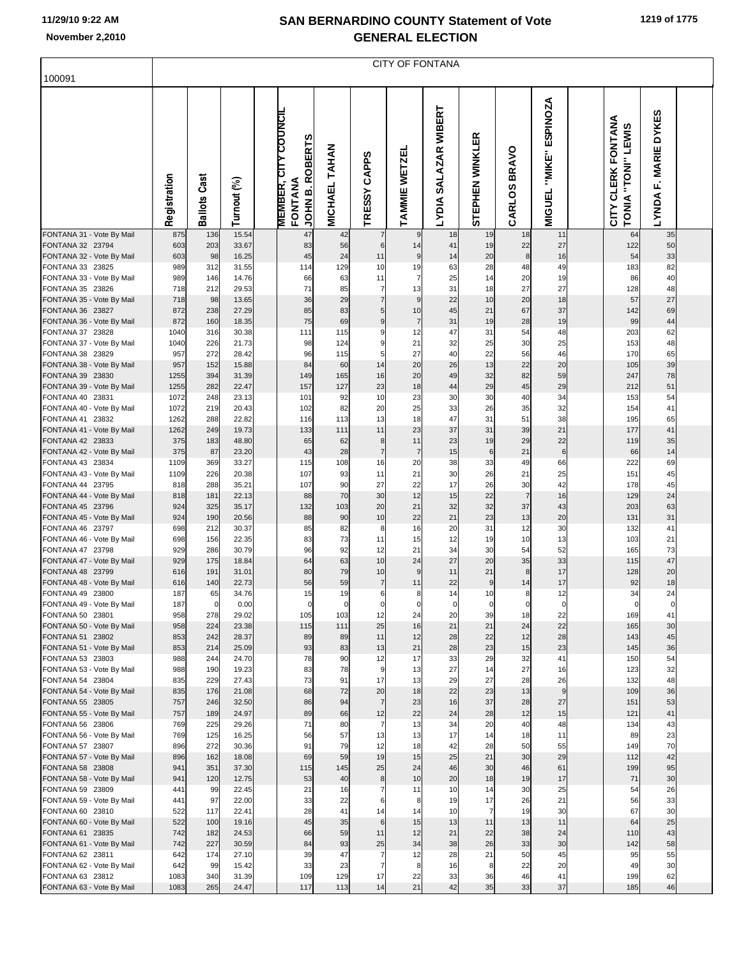|  | 1219 of 1775 |
|--|--------------|
|--|--------------|

| 100091                                        |              |                        |                |                                                                               |               |                               | <b>CITY OF FONTANA</b> |                      |                      |                |                                            |                                          |                      |  |
|-----------------------------------------------|--------------|------------------------|----------------|-------------------------------------------------------------------------------|---------------|-------------------------------|------------------------|----------------------|----------------------|----------------|--------------------------------------------|------------------------------------------|----------------------|--|
|                                               | Registration | Cast<br><b>Ballots</b> | Turnout (%)    | <b>MEMBER, CITY COUNCIL</b><br><b>ROBERTS</b><br>FONTANA<br>JOHN <sub>B</sub> | MICHAEL TAHAN | TRESSY CAPPS                  | TAMMIE WETZEL          | LYDIA SALAZAR WIBERT | STEPHEN WINKLER      | CARLOS BRAVO   | <b>ESPINOZA</b><br>"MIKE"<br><b>MIGUEL</b> | CITY CLERK FONTANA<br>TONIA "TONI" LEWIS | LYNDA F. MARIE DYKES |  |
| FONTANA 31 - Vote By Mail<br>FONTANA 32 23794 | 875<br>603   | 136<br>203             | 15.54<br>33.67 | 47<br>83                                                                      | 42<br>56      | 6                             | 9<br>14                | 18<br>41             | 19<br>19             | 18<br>22       | 11<br>27                                   | 64<br>122                                | 35<br>50             |  |
| FONTANA 32 - Vote By Mail                     | 603          | 98                     | 16.25          | 45                                                                            | 24            | 11                            | $\boldsymbol{9}$       | 14                   | 20                   | 8              | 16                                         | 54                                       | 33                   |  |
| FONTANA 33 23825<br>FONTANA 33 - Vote By Mail | 989<br>989   | 312<br>146             | 31.55<br>14.76 | 114<br>66                                                                     | 129<br>63     | 10<br>11                      | 19<br>7                | 63<br>25             | 28<br>14             | 48<br>20       | 49<br>19                                   | 183<br>86                                | 82<br>40             |  |
| FONTANA 35 23826                              | 718          | 212                    | 29.53          | 71                                                                            | 85            | $\overline{7}$                | 13                     | 31                   | 18                   | 27             | 27                                         | 128                                      | 48                   |  |
| FONTANA 35 - Vote By Mail                     | 718          | 98                     | 13.65          | 36                                                                            | 29            | $\overline{7}$                | $\overline{9}$         | 22                   | 10                   | 20             | 18                                         | 57                                       | 27                   |  |
| FONTANA 36 23827<br>FONTANA 36 - Vote By Mail | 872<br>872   | 238<br>160             | 27.29<br>18.35 | 85<br>75                                                                      | 83<br>69      | $\overline{5}$<br>$\mathbf 9$ | 10<br>$\overline{7}$   | 45<br>31             | 21<br>19             | 67<br>28       | 37<br>19                                   | 142<br>99                                | 69<br>44             |  |
| FONTANA 37 23828                              | 1040         | 316                    | 30.38          | 111                                                                           | 115           | 9                             | 12                     | 47                   | 31                   | 54             | 48                                         | 203                                      | 62                   |  |
| FONTANA 37 - Vote By Mail                     | 1040         | 226                    | 21.73          | 98                                                                            | 124           | 9                             | 21                     | 32                   | 25                   | 30             | 25                                         | 153                                      | 48                   |  |
| FONTANA 38 23829<br>FONTANA 38 - Vote By Mail | 957<br>957   | 272<br>152             | 28.42<br>15.88 | 96<br>84                                                                      | 115<br>60     | 5<br>14                       | 27<br>20               | 40<br>26             | 22<br>13             | 56<br>22       | 46<br>20                                   | 170<br>105                               | 65<br>39             |  |
| FONTANA 39 23830                              | 1255         | 394                    | 31.39          | 149                                                                           | 165           | 16                            | 20                     | 49                   | 32                   | 82             | 59                                         | 247                                      | 78                   |  |
| FONTANA 39 - Vote By Mail                     | 1255         | 282                    | 22.47          | 157                                                                           | 127           | 23                            | 18                     | 44                   | 29                   | 45             | 29                                         | 212                                      | 51                   |  |
| FONTANA 40 23831<br>FONTANA 40 - Vote By Mail | 1072<br>1072 | 248<br>219             | 23.13<br>20.43 | 101<br>102                                                                    | 92<br>82      | 10<br>20                      | 23<br>25               | 30<br>33             | 30<br>26             | 40<br>35       | 34<br>32                                   | 153<br>154                               | 54<br>41             |  |
| FONTANA 41 23832                              | 1262         | 288                    | 22.82          | 116                                                                           | 113           | 13                            | 18                     | 47                   | 31                   | 51             | 38                                         | 195                                      | 65                   |  |
| FONTANA 41 - Vote By Mail<br>FONTANA 42 23833 | 1262         | 249                    | 19.73          | 133                                                                           | 111           | 11                            | 23                     | 37                   | 31<br>19             | 39             | 21                                         | 177                                      | 41                   |  |
| FONTANA 42 - Vote By Mail                     | 375<br>375   | 183<br>87              | 48.80<br>23.20 | 65<br>43                                                                      | 62<br>28      | 8<br>$\overline{7}$           | 11<br>$\overline{7}$   | 23<br>15             | $\,6$                | 29<br>21       | 22<br>$\,6$                                | 119<br>66                                | 35<br>14             |  |
| FONTANA 43 23834                              | 1109         | 369                    | 33.27          | 115                                                                           | 108           | 16                            | 20                     | 38                   | 33                   | 49             | 66                                         | 222                                      | 69                   |  |
| FONTANA 43 - Vote By Mail<br>FONTANA 44 23795 | 1109<br>818  | 226<br>288             | 20.38<br>35.21 | 107<br>107                                                                    | 93<br>90      | 11<br>27                      | 21<br>22               | 30<br>17             | 26<br>26             | 21<br>30       | 25<br>42                                   | 151<br>178                               | 45<br>45             |  |
| FONTANA 44 - Vote By Mail                     | 818          | 181                    | 22.13          | 88                                                                            | 70            | 30                            | 12                     | 15                   | 22                   | $\overline{7}$ | 16                                         | 129                                      | 24                   |  |
| FONTANA 45 23796                              | 924          | 325                    | 35.17          | 132                                                                           | 103           | 20                            | 21                     | 32                   | 32                   | 37             | 43                                         | 203                                      | 63                   |  |
| FONTANA 45 - Vote By Mail<br>FONTANA 46 23797 | 924<br>698   | 190<br>212             | 20.56<br>30.37 | 88<br>85                                                                      | 90<br>82      | 10<br>8                       | 22<br>16               | 21<br>20             | 23<br>31             | 13<br>12       | 20<br>30                                   | 131<br>132                               | 31<br>41             |  |
| FONTANA 46 - Vote By Mail                     | 698          | 156                    | 22.35          | 83                                                                            | 73            | 11                            | 15                     | 12                   | 19                   | 10             | 13                                         | 103                                      | 21                   |  |
| FONTANA 47 23798                              | 929          | 286                    | 30.79          | 96                                                                            | 92            | 12                            | 21                     | 34                   | 30                   | 54             | 52                                         | 165                                      | 73                   |  |
| FONTANA 47 - Vote By Mail<br>FONTANA 48 23799 | 929<br>616   | 175<br>191             | 18.84<br>31.01 | 64<br>80                                                                      | 63<br>79      | 10<br>10                      | 24<br>9                | 27<br>11             | 20<br>21             | 35<br>8        | 33<br>17                                   | 115<br>128                               | 47<br>20             |  |
| FONTANA 48 - Vote By Mail                     | 616          | 140                    | 22.73          | 56                                                                            | 59            | $\overline{7}$                | 11                     | 22                   | $\mathsf g$          | 14             | 17                                         | 92                                       | 18                   |  |
| FONTANA 49 23800                              | 187          | 65                     | 34.76          | 15                                                                            | 19            | 6                             | 8                      | 14                   | 10                   | 8              | 12                                         | 34                                       | 24                   |  |
| FONTANA 49 - Vote By Mail<br>FONTANA 50 23801 | 187<br>958   | 0<br>278               | 0.00<br>29.02  | 0<br>105                                                                      | 0<br>103      | 12                            | 0<br>24                | 0<br>20              | 0<br>39              | 18             | 22                                         | 169                                      | 41                   |  |
| FONTANA 50 - Vote By Mail                     | 958          | 224                    | 23.38          | 115                                                                           | 111           | 25                            | 16                     | 21                   | 21                   | 24             | 22                                         | 165                                      | 30                   |  |
| FONTANA 51 23802<br>FONTANA 51 - Vote By Mail | 853<br>853   | 242<br>214             | 28.37<br>25.09 | 89<br>93                                                                      | 89<br>83      | 11<br>13                      | 12<br>21               | 28<br>28             | 22<br>23             | 12<br>15       | 28<br>23                                   | 143<br>145                               | 45<br>36             |  |
| FONTANA 53 23803                              | 988          | 244                    | 24.70          | 78                                                                            | 90            | 12                            | 17                     | 33                   | 29                   | 32             | 41                                         | 150                                      | 54                   |  |
| FONTANA 53 - Vote By Mail                     | 988          | 190                    | 19.23          | 83                                                                            | 78            | 9                             | 13                     | 27                   | 14                   | 27             | 16                                         | 123                                      | 32                   |  |
| FONTANA 54 23804<br>FONTANA 54 - Vote By Mail | 835<br>835   | 229<br>176             | 27.43<br>21.08 | 73<br>68                                                                      | 91<br>72      | 17<br>20                      | 13<br>18               | 29<br>22             | 27<br>23             | 28<br>13       | 26<br>9                                    | 132<br>109                               | 48<br>36             |  |
| FONTANA 55 23805                              | 757          | 246                    | 32.50          | 86                                                                            | 94            | $\overline{7}$                | 23                     | 16                   | 37                   | 28             | 27                                         | 151                                      | 53                   |  |
| FONTANA 55 - Vote By Mail                     | 757          | 189                    | 24.97          | 89                                                                            | 66            | 12                            | 22                     | 24                   | 28                   | 12             | 15                                         | 121                                      | 41                   |  |
| FONTANA 56 23806<br>FONTANA 56 - Vote By Mail | 769<br>769   | 225<br>125             | 29.26<br>16.25 | 71<br>56                                                                      | 80<br>57      | $\overline{7}$<br>13          | 13<br>13               | 34<br>17             | 20<br>14             | 40<br>18       | 48<br>11                                   | 134<br>89                                | 43<br>23             |  |
| FONTANA 57 23807                              | 896          | 272                    | 30.36          | 91                                                                            | 79            | 12                            | 18                     | 42                   | 28                   | 50             | 55                                         | 149                                      | 70                   |  |
| FONTANA 57 - Vote By Mail                     | 896          | 162                    | 18.08          | 69                                                                            | 59            | 19                            | 15<br>24               | 25<br>46             | 21<br>30             | 30             | 29                                         | 112                                      | 42                   |  |
| FONTANA 58 23808<br>FONTANA 58 - Vote By Mail | 941<br>941   | 351<br>120             | 37.30<br>12.75 | 115<br>53                                                                     | 145<br>40     | 25<br>8                       | 10                     | 20                   | 18                   | 46<br>19       | 61<br>17                                   | 199<br>71                                | 95<br>30             |  |
| FONTANA 59 23809                              | 441          | 99                     | 22.45          | 21                                                                            | 16            | $\overline{7}$                | 11                     | 10                   | 14                   | 30             | 25                                         | 54                                       | 26                   |  |
| FONTANA 59 - Vote By Mail<br>FONTANA 60 23810 | 441<br>522   | 97<br>117              | 22.00<br>22.41 | 33<br>28                                                                      | 22<br>41      | 6<br>14                       | 8<br>14                | 19<br>10             | 17<br>$\overline{7}$ | 26<br>19       | 21<br>30                                   | 56<br>67                                 | 33<br>30             |  |
| FONTANA 60 - Vote By Mail                     | 522          | 100                    | 19.16          | 45                                                                            | 35            | 6                             | 15                     | 13                   | 11                   | 13             | 11                                         | 64                                       | 25                   |  |
| FONTANA 61 23835                              | 742          | 182                    | 24.53          | 66                                                                            | 59            | 11                            | 12                     | 21                   | 22                   | 38             | 24                                         | 110                                      | 43                   |  |
| FONTANA 61 - Vote By Mail<br>FONTANA 62 23811 | 742<br>642   | 227<br>174             | 30.59<br>27.10 | 84<br>39                                                                      | 93<br>47      | 25<br>7                       | 34<br>12               | 38<br>28             | 26<br>21             | 33<br>50       | 30<br>45                                   | 142<br>95                                | 58<br>55             |  |
| FONTANA 62 - Vote By Mail                     | 642          | 99                     | 15.42          | 33                                                                            | 23            | $\overline{7}$                | 8                      | 16                   | 8                    | 22             | 20                                         | 49                                       | 30                   |  |
| FONTANA 63 23812                              | 1083         | 340                    | 31.39          | 109                                                                           | 129           | 17                            | 22                     | 33                   | 36                   | 46             | 41                                         | 199                                      | 62                   |  |
| FONTANA 63 - Vote By Mail                     | 1083         | 265                    | 24.47          | 117                                                                           | 113           | 14                            | 21                     | 42                   | 35                   | 33             | 37                                         | 185                                      | 46                   |  |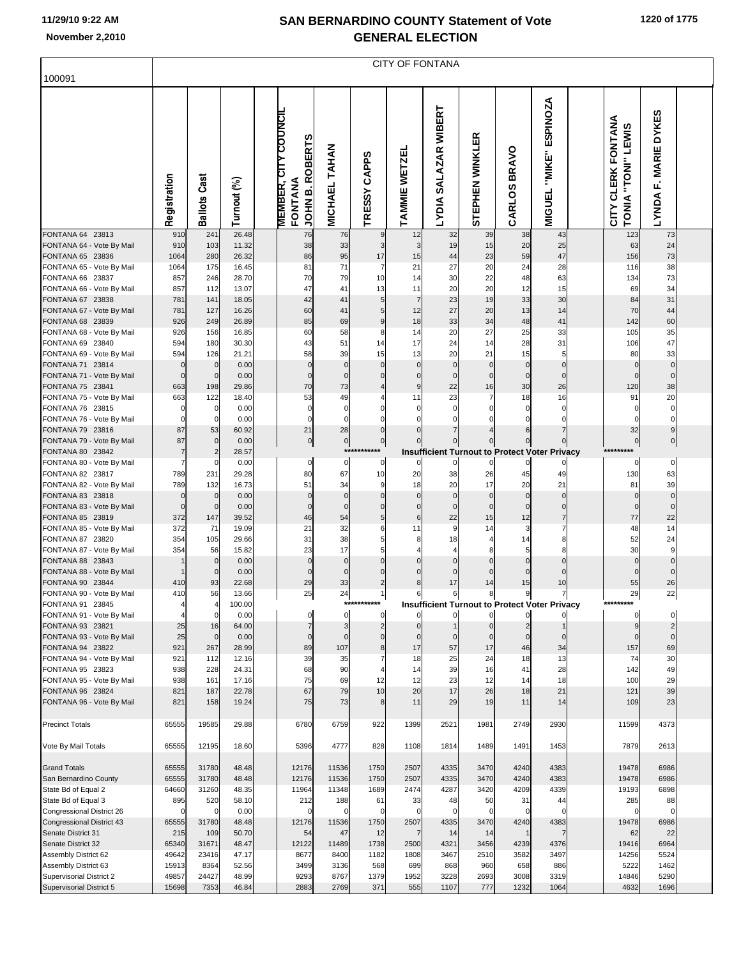| 100091                                           |                    |                     |                |                                                           |                      |                                  |                          | <b>CITY OF FONTANA</b>                               |                          |                               |                                            |                                                              |                                                    |  |
|--------------------------------------------------|--------------------|---------------------|----------------|-----------------------------------------------------------|----------------------|----------------------------------|--------------------------|------------------------------------------------------|--------------------------|-------------------------------|--------------------------------------------|--------------------------------------------------------------|----------------------------------------------------|--|
|                                                  | Registration       | Ballots Cast        | Turnout (%)    | <b>MEMBER, CITY COUNCIL</b><br>JOHN B. ROBERTS<br>FONTANA | MICHAEL TAHAN        | <b>CAPPS</b><br><b>TRESSY</b>    | TAMMIE WETZEL            | SALAZAR WIBERT<br><b>LYDIA</b>                       | 臣<br>STEPHEN WINKL       | <b>BRAVO</b><br>CARLOS        | <b>ESPINOZA</b><br>"MIKE"<br><b>MIGUEL</b> | CITY CLERK FONTANA<br><b>LEWIS</b><br>"TONI"<br><b>TONIA</b> | <b>DYKES</b><br><b>MARIE</b><br>Ē.<br><b>LYNDA</b> |  |
| FONTANA 64 23813<br>FONTANA 64 - Vote By Mail    | 910<br>910         | 241<br>103          | 26.48<br>11.32 | 76<br>38                                                  | 76<br>33             | 9<br>3 <sup>1</sup>              | 12<br>3                  | 32<br>19                                             | 39<br>15                 | 38<br>20                      | 43<br>25                                   | 123<br>63                                                    | 73<br>24                                           |  |
| FONTANA 65 23836                                 | 1064               | 280                 | 26.32          | 86                                                        | 95                   | 17                               | 15                       | 44                                                   | 23                       | 59                            | 47                                         | 156                                                          | 73                                                 |  |
| FONTANA 65 - Vote By Mail                        | 1064               | 175                 | 16.45          | 81                                                        | 71                   | $\overline{7}$                   | 21                       | 27                                                   | 20                       | 24                            | 28                                         | 116                                                          | 38                                                 |  |
| FONTANA 66 23837<br>FONTANA 66 - Vote By Mail    | 857<br>857         | 246<br>112          | 28.70<br>13.07 | 70<br>47                                                  | 79<br>41             | 10<br>13                         | 14<br>11                 | 30<br>20                                             | 22<br>20                 | 48<br>12                      | 63<br>15                                   | 134<br>69                                                    | 73<br>34                                           |  |
| FONTANA 67 23838                                 | 781                | 141                 | 18.05          | 42                                                        | 41                   | 5 <sub>l</sub>                   | $\overline{7}$           | 23                                                   | 19                       | 33                            | 30                                         | 84                                                           | 31                                                 |  |
| FONTANA 67 - Vote By Mail                        | 781                | 127                 | 16.26          | 60                                                        | 41                   | 5                                | 12                       | 27                                                   | 20                       | 13                            | 14                                         | 70                                                           | 44                                                 |  |
| FONTANA 68 23839                                 | 926<br>926         | 249                 | 26.89<br>16.85 | 85<br>60                                                  | 69<br>58             | $\overline{9}$<br>8              | 18<br>14                 | 33<br>20                                             | 34<br>27                 | 48<br>25                      | 41<br>33                                   | 142<br>105                                                   | 60<br>35                                           |  |
| FONTANA 68 - Vote By Mail<br>FONTANA 69 23840    | 594                | 156<br>180          | 30.30          | 43                                                        | 51                   | 14                               | 17                       | 24                                                   | 14                       | 28                            | 31                                         | 106                                                          | 47                                                 |  |
| FONTANA 69 - Vote By Mail                        | 594                | 126                 | 21.21          | 58                                                        | 39                   | 15                               | 13                       | 20                                                   | 21                       | 15                            | 5                                          | 80                                                           | 33                                                 |  |
| FONTANA 71 23814                                 | $\mathbf 0$        | $\mathbf 0$         | 0.00           | $\mathbf 0$                                               | $\Omega$             | $\mathbf 0$                      | $\mathbf 0$              | $\mathbf 0$                                          | $\mathbf 0$              | $\mathbf 0$                   | $\mathbf 0$                                | $\mathcal{C}$                                                | $\Omega$                                           |  |
| FONTANA 71 - Vote By Mail<br>FONTANA 75 23841    | $\mathbf 0$<br>663 | $\mathbf 0$<br>198  | 0.00<br>29.86  | $\Omega$<br>70                                            | $\Omega$<br>73       | $\mathbf 0$<br>$\overline{4}$    | $\Omega$<br>9            | $\mathbf 0$<br>22                                    | $\mathbf 0$<br>16        | $\mathbf 0$<br>30             | $\Omega$<br>26                             | $\mathsf{C}$<br>120                                          | 38                                                 |  |
| FONTANA 75 - Vote By Mail                        | 663                | 122                 | 18.40          | 53                                                        | 49                   | 4                                | 11                       | 23                                                   | 7                        | 18                            | 16                                         | 91                                                           | 20                                                 |  |
| FONTANA 76 23815                                 | 0                  | $\mathbf 0$         | 0.00           | $\mathbf 0$                                               | $\Omega$             | $\mathbf 0$                      | $\Omega$                 | $\mathbf 0$                                          | $\Omega$                 | 0                             |                                            |                                                              |                                                    |  |
| FONTANA 76 - Vote By Mail                        | $\Omega$           | $\Omega$            | 0.00           | $\Omega$                                                  | $\Omega$             |                                  |                          | $\Omega$                                             | $\Omega$                 | $\Omega$                      | $\Omega$                                   |                                                              |                                                    |  |
| FONTANA 79 23816<br>FONTANA 79 - Vote By Mail    | 87<br>87           | 53<br>$\mathbf 0$   | 60.92<br>0.00  | 21<br>$\overline{0}$                                      | 28<br>$\overline{0}$ | $\mathbf 0$<br>$\overline{0}$    |                          | 7<br>0                                               |                          | 6<br>$\mathbf 0$              | $\overline{7}$                             | 32<br>$\Omega$                                               | $\overline{0}$                                     |  |
| FONTANA 80 23842                                 | $\overline{7}$     | $\overline{2}$      | 28.57          |                                                           |                      | ***********                      |                          | <b>Insufficient Turnout to Protect Voter Privacy</b> |                          |                               |                                            | *********                                                    |                                                    |  |
| FONTANA 80 - Vote By Mail                        | $\overline{7}$     | $\Omega$            | 0.00           | $\mathbf 0$                                               | $\mathbf 0$          | $\mathbf{0}$                     | $\Omega$                 | $\mathbf 0$                                          | $\mathbf 0$              | 0                             |                                            | 0                                                            | $\mathbf 0$                                        |  |
| FONTANA 82 23817<br>FONTANA 82 - Vote By Mail    | 789<br>789         | 231<br>132          | 29.28<br>16.73 | 80<br>51                                                  | 67<br>34             | 10<br>9                          | 20<br>18                 | 38<br>20                                             | 26<br>17                 | 45<br>20                      | 49<br>21                                   | 130<br>81                                                    | 63<br>39                                           |  |
| FONTANA 83 23818                                 | $\mathbf 0$        | $\mathbf 0$         | 0.00           | $\mathbf 0$                                               | $\Omega$             | $\mathbf 0$                      | $\mathbf 0$              | $\mathbf 0$                                          | $\mathbf 0$              | $\mathbf 0$                   | $\mathbf{0}$                               | $\mathbf 0$                                                  | $\Omega$                                           |  |
| FONTANA 83 - Vote By Mail                        | $\mathbf 0$        | $\mathbf 0$         | 0.00           | $\Omega$                                                  | $\Omega$             | $\mathbf 0$                      | $\Omega$                 | $\mathbf 0$                                          | $\mathbf 0$              | $\mathbf 0$                   | $\mathbf 0$                                | $\mathcal{C}$                                                |                                                    |  |
| FONTANA 85 23819                                 | 372                | 147                 | 39.52          | 46                                                        | 54                   | 5 <sub>5</sub>                   | 6                        | 22                                                   | 15                       | 12                            | $\overline{7}$                             | 77                                                           | 22                                                 |  |
| FONTANA 85 - Vote By Mail<br>FONTANA 87 23820    | 372<br>354         | 71<br>105           | 19.09<br>29.66 | 21<br>31                                                  | 32<br>38             | 6<br>5 <sub>5</sub>              | 11<br>8                  | 9<br>18                                              | 14<br>$\overline{4}$     | 3<br>14                       | $\overline{7}$<br>8                        | 48<br>52                                                     | 14<br>24                                           |  |
| FONTANA 87 - Vote By Mail                        | 354                | 56                  | 15.82          | 23                                                        | 17                   | 5                                |                          | 4                                                    | 8                        | 5                             | 8                                          | 30                                                           |                                                    |  |
| FONTANA 88 23843                                 |                    | $\mathbf 0$         | 0.00           | $\mathbf 0$                                               | $\mathbf 0$          | $\mathbf 0$                      | $\Omega$                 | $\mathbf 0$                                          | $\Omega$                 | $\mathbf 0$                   | $\mathbf{0}$                               | $\Omega$                                                     |                                                    |  |
| FONTANA 88 - Vote By Mail<br>FONTANA 90 23844    | 410                | $\mathbf 0$<br>93   | 0.00<br>22.68  | $\mathbf 0$<br>29                                         | $\Omega$<br>33       | $\Omega$<br>$\overline{2}$       | 0<br>8                   | $\Omega$<br>17                                       | $\Omega$<br>14           | $\mathbf 0$<br>15             | $\Omega$<br>10                             | 55                                                           | 26                                                 |  |
| FONTANA 90 - Vote By Mail                        | 410                | 56                  | 13.66          | 25                                                        | 24                   |                                  | 6                        | $6 \mid$                                             | 8                        | 9                             | $\overline{7}$                             | 29                                                           | 22                                                 |  |
| FONTANA 91 23845                                 |                    |                     | 100.00         |                                                           |                      |                                  |                          | <b>Insufficient Turnout to Protect Voter Privacy</b> |                          |                               |                                            |                                                              |                                                    |  |
| FONTANA 91 - Vote By Mail                        |                    | $\mathbf 0$         | 0.00           | $\Omega$                                                  | $\mathbf 0$          | $\mathbf{0}$                     | 0                        | $\mathbf{0}$                                         | $\mathbf{0}$             | $\mathbf{0}$                  |                                            | $\mathbf 0$                                                  | 0                                                  |  |
| FONTANA 93 23821<br>FONTANA 93 - Vote By Mail    | 25<br>25           | 16<br>$\mathbf 0$   | 64.00<br>0.00  | $\overline{7}$<br>$\mathbf 0$                             | 3<br>$\Omega$        | $\overline{2}$<br>$\overline{0}$ | $\Omega$<br>$\mathbf{0}$ | $\mathbf{0}$                                         | $\Omega$<br>$\mathbf{0}$ | $\overline{c}$<br>$\mathbf 0$ | $\mathbf 0$                                | $\mathcal{C}$                                                | $\overline{2}$<br>$\Omega$                         |  |
| FONTANA 94 23822                                 | 921                | 267                 | 28.99          | 89                                                        | 107                  | 8                                | 17                       | 57                                                   | 17                       | 46                            | 34                                         | 157                                                          | 69                                                 |  |
| FONTANA 94 - Vote By Mail                        | 921                | 112                 | 12.16          | 39                                                        | 35                   |                                  | 18                       | 25                                                   | 24                       | 18                            | 13                                         | 74                                                           | 30                                                 |  |
| FONTANA 95 23823                                 | 938                | 228                 | 24.31          | 68<br>75                                                  | 90                   | $\overline{4}$<br>12             | 14                       | 39                                                   | 16<br>12                 | 41                            | 28<br>18                                   | 142                                                          | 49                                                 |  |
| FONTANA 95 - Vote By Mail<br>FONTANA 96 23824    | 938<br>821         | 161<br>187          | 17.16<br>22.78 | 67                                                        | 69<br>79             | 10                               | 12<br>20                 | 23<br>17                                             | 26                       | 14<br>18                      | 21                                         | 100<br>121                                                   | 29<br>39                                           |  |
| FONTANA 96 - Vote By Mail                        | 821                | 158                 | 19.24          | 75                                                        | 73                   | 8 <sup>1</sup>                   | 11                       | 29                                                   | 19                       | 11                            | 14                                         | 109                                                          | 23                                                 |  |
| <b>Precinct Totals</b>                           | 65555              | 19585               | 29.88          | 6780                                                      | 6759                 | 922                              | 1399                     | 2521                                                 | 1981                     | 2749                          | 2930                                       | 11599                                                        | 4373                                               |  |
| Vote By Mail Totals                              | 65555              | 12195               | 18.60          | 5396                                                      | 4777                 | 828                              | 1108                     | 1814                                                 | 1489                     | 1491                          | 1453                                       | 7879                                                         | 2613                                               |  |
| <b>Grand Totals</b>                              | 65555              | 31780               | 48.48          | 12176                                                     | 11536                | 1750                             | 2507                     | 4335                                                 | 3470                     | 4240                          | 4383                                       | 19478                                                        | 6986                                               |  |
| San Bernardino County                            | 65555              | 31780               | 48.48          | 12176                                                     | 11536                | 1750                             | 2507                     | 4335                                                 | 3470                     | 4240                          | 4383                                       | 19478                                                        | 6986                                               |  |
| State Bd of Equal 2                              | 64660              | 31260               | 48.35          | 11964                                                     | 11348                | 1689                             | 2474                     | 4287                                                 | 3420                     | 4209                          | 4339                                       | 19193                                                        | 6898                                               |  |
| State Bd of Equal 3<br>Congressional District 26 | 895<br>0           | 520<br>$\mathsf{C}$ | 58.10<br>0.00  | 212<br>$\Omega$                                           | 188<br>$\Omega$      | 61<br>$\mathbf 0$                | 33<br>$\mathbf 0$        | 48<br>$\mathbf 0$                                    | 50<br>$\Omega$           | 31<br>$\mathbf 0$             | 44<br>$\Omega$                             | 285                                                          | 88                                                 |  |
| Congressional District 43                        | 65555              | 31780               | 48.48          | 12176                                                     | 11536                | 1750                             | 2507                     | 4335                                                 | 3470                     | 4240                          | 4383                                       | 19478                                                        | 6986                                               |  |
| Senate District 31                               | 215                | 109                 | 50.70          | 54                                                        | 47                   | 12                               | 7                        | 14                                                   | 14                       | $\mathbf{1}$                  |                                            | 62                                                           | 22                                                 |  |
| Senate District 32                               | 65340              | 31671               | 48.47          | 12122                                                     | 11489                | 1738                             | 2500                     | 4321                                                 | 3456                     | 4239                          | 4376                                       | 19416                                                        | 6964                                               |  |
| Assembly District 62<br>Assembly District 63     | 49642<br>15913     | 23416<br>8364       | 47.17<br>52.56 | 8677<br>3499                                              | 8400<br>3136         | 1182<br>568                      | 1808<br>699              | 3467<br>868                                          | 2510<br>960              | 3582<br>658                   | 3497<br>886                                | 14256<br>5222                                                | 5524<br>1462                                       |  |
| Supervisorial District 2                         | 49857              | 24427               | 48.99          | 9293                                                      | 8767                 | 1379                             | 1952                     | 3228                                                 | 2693                     | 3008                          | 3319                                       | 14846                                                        | 5290                                               |  |
| Supervisorial District 5                         | 15698              | 7353                | 46.84          | 2883                                                      | 2769                 | 371                              | 555                      | 1107                                                 | 777                      | 1232                          | 1064                                       | 4632                                                         | 1696                                               |  |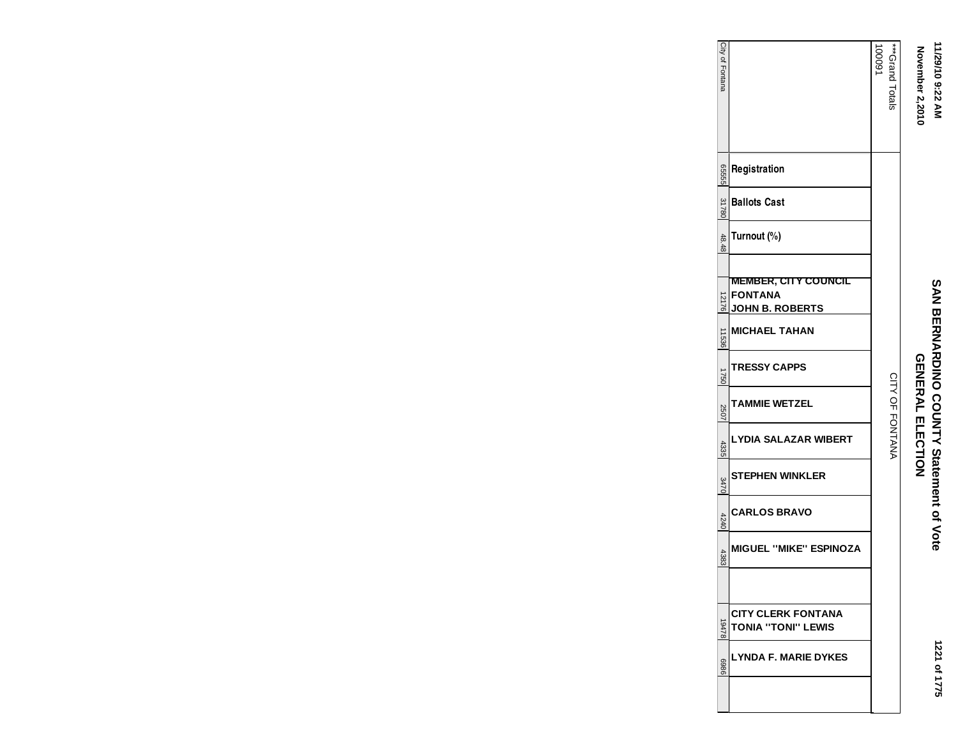## 11/29/10 9:22 AM<br>November 2,2010 **11/29/10 9:22 AM**

# **GENERAL ELECTION November 2,2010 SAN BERNARDINO COUNTY Statement of Vote<br>GENARDINO COUNTY Statement of Vote SAN BERNARDINO COUNTY Statement of Vote**

| City of Fontana |                                                                         | ***Crand Totals<br>16000 |
|-----------------|-------------------------------------------------------------------------|--------------------------|
| 92555           | Registration                                                            |                          |
| 31780           | <b>Ballots Cast</b>                                                     |                          |
| 48.48           | Turnout (%)                                                             |                          |
| 12176           | <u>MEMBER, CITY COUNCIL</u><br><b>FONTANA</b><br><b>JOHN B. ROBERTS</b> |                          |
| 11536           | <b>MICHAEL TAHAN</b>                                                    |                          |
| 1750            | TRESSY CAPPS                                                            |                          |
| 2507            | TAMMIE WETZEL                                                           | CITY OF FONTANA          |
| 4335            | LYDIA SALAZAR WIBERT                                                    |                          |
| 3470            | STEPHEN WINKLER                                                         |                          |
| 4240            | <b>CARLOS BRAVO</b>                                                     |                          |
| 4383            | <b>MIGUEL "MIKE" ESPINOZA</b>                                           |                          |
|                 |                                                                         |                          |
| 19478           | <b>CITY CLERK FONTANA</b><br><b>TONIA "TONI" LEWIS</b>                  |                          |
| 9869            | LYNDA F. MARIE DYKES                                                    |                          |
|                 |                                                                         |                          |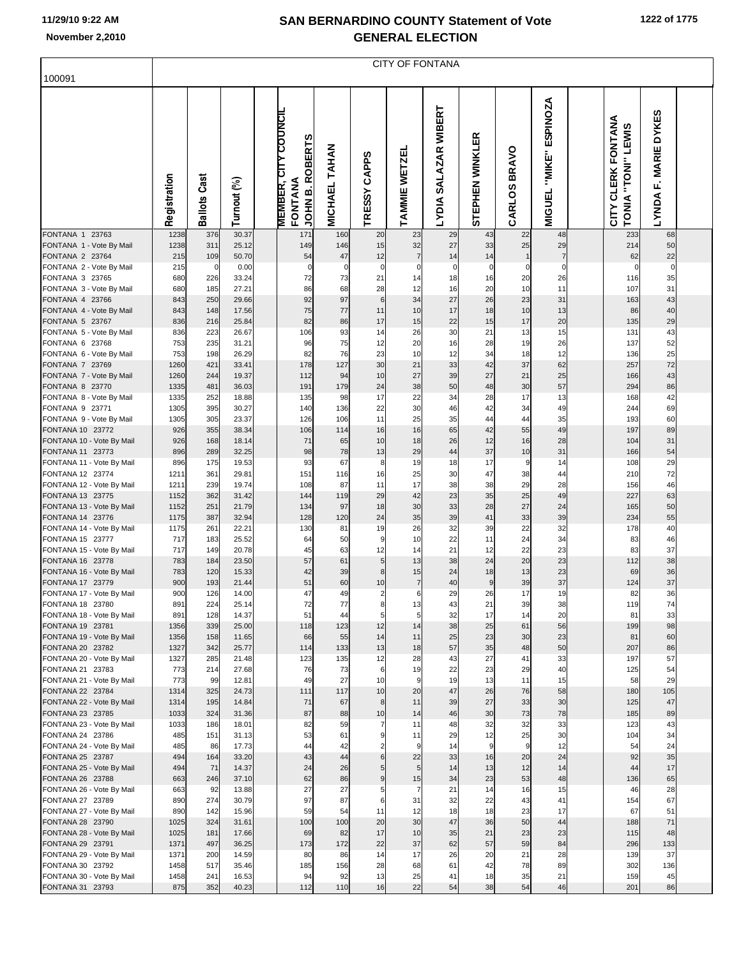| 100091                                        |              |              |                |                                                                  |               |                     |                      | <b>CITY OF FONTANA</b>         |                 |                        |                                     |                                             |                                          |  |
|-----------------------------------------------|--------------|--------------|----------------|------------------------------------------------------------------|---------------|---------------------|----------------------|--------------------------------|-----------------|------------------------|-------------------------------------|---------------------------------------------|------------------------------------------|--|
|                                               | Registration | Ballots Cast | Turnout (%)    | <b>MEMBER, CITY COUNCIL</b><br><b>JOHN B. ROBERTS</b><br>FONTANA | MICHAEL TAHAN | TRESSY CAPPS        | TAMMIE WETZEL        | SALAZAR WIBERT<br><b>TADIV</b> | STEPHEN WINKLER | <b>BRAVO</b><br>CARLOS | ESPINOZA<br>"MIKE"<br><b>MIGUEL</b> | CITY CLERK FONTANA<br>"TONI" LEWIS<br>TONIA | <b>MARIE DYKES</b><br>Ē.<br><b>LYNDA</b> |  |
| FONTANA 1 23763                               | 1238<br>1238 | 376<br>311   | 30.37<br>25.12 | 171                                                              | 160           | 20<br>15            | 23                   | 29<br>27                       | 43<br>33        | 22                     | 48                                  | 233<br>214                                  | 68<br>50                                 |  |
| FONTANA 1 - Vote By Mail<br>FONTANA 2 23764   | 215          | 109          | 50.70          | 149<br>54                                                        | 146<br>47     | 12                  | 32<br>$\overline{7}$ | 14                             | 14              | 25<br>$\mathbf{1}$     | 29<br>$\overline{7}$                | 62                                          | 22                                       |  |
| FONTANA 2 - Vote By Mail                      | 215          | $\mathbf 0$  | 0.00           | 0                                                                | $\mathbf 0$   | $\boldsymbol{0}$    | $\mathbf 0$          | 0                              | 0               | 0                      | $\Omega$                            | $\mathbf 0$                                 | 0                                        |  |
| FONTANA 3 23765                               | 680          | 226          | 33.24          | 72                                                               | 73            | 21                  | 14                   | 18                             | 16              | 20                     | 26                                  | 116                                         | 35                                       |  |
| FONTANA 3 - Vote By Mail<br>FONTANA 4 23766   | 680<br>843   | 185<br>250   | 27.21<br>29.66 | 86<br>92                                                         | 68<br>97      | 28<br>6             | 12<br>34             | 16<br>27                       | 20<br>26        | 10<br>23               | 11<br>31                            | 107<br>163                                  | 31<br>43                                 |  |
| FONTANA 4 - Vote By Mail                      | 843          | 148          | 17.56          | 75                                                               | 77            | 11                  | 10                   | 17                             | 18              | 10                     | 13                                  | 86                                          | 40                                       |  |
| FONTANA 5 23767                               | 836          | 216          | 25.84          | 82                                                               | 86            | 17                  | 15                   | 22                             | 15              | 17                     | 20                                  | 135                                         | 29                                       |  |
| FONTANA 5 - Vote By Mail                      | 836          | 223          | 26.67          | 106                                                              | 93            | 14                  | 26                   | 30                             | 21              | 13                     | 15                                  | 131                                         | 43                                       |  |
| FONTANA 6 23768                               | 753<br>753   | 235<br>198   | 31.21          | 96<br>82                                                         | 75<br>76      | 12<br>23            | 20<br>10             | 16<br>12                       | 28<br>34        | 19<br>18               | 26<br>12                            | 137<br>136                                  | 52                                       |  |
| FONTANA 6 - Vote By Mail<br>FONTANA 7 23769   | 1260         | 421          | 26.29<br>33.41 | 178                                                              | 127           | 30                  | 21                   | 33                             | 42              | 37                     | 62                                  | 257                                         | 25<br>72                                 |  |
| FONTANA 7 - Vote By Mail                      | 1260         | 244          | 19.37          | 112                                                              | 94            | 10                  | 27                   | 39                             | 27              | 21                     | 25                                  | 166                                         | 43                                       |  |
| FONTANA 8 23770                               | 1335         | 481          | 36.03          | 191                                                              | 179           | 24                  | 38                   | 50                             | 48              | 30                     | 57                                  | 294                                         | 86                                       |  |
| FONTANA 8 - Vote By Mail                      | 1335         | 252<br>395   | 18.88          | 135<br>140                                                       | 98<br>136     | 17<br>22            | 22<br>30             | 34<br>46                       | 28              | 17                     | 13<br>49                            | 168<br>244                                  | 42                                       |  |
| FONTANA 9 23771<br>FONTANA 9 - Vote By Mail   | 1305<br>1305 | 305          | 30.27<br>23.37 | 126                                                              | 106           | 11                  | 25                   | 35                             | 42<br>44        | 34<br>44               | 35                                  | 193                                         | 69<br>60                                 |  |
| FONTANA 10 23772                              | 926          | 355          | 38.34          | 106                                                              | 114           | 16                  | 16                   | 65                             | 42              | 55                     | 49                                  | 197                                         | 89                                       |  |
| FONTANA 10 - Vote By Mail                     | 926          | 168          | 18.14          | 71                                                               | 65            | 10                  | 18                   | 26                             | 12              | 16                     | 28                                  | 104                                         | 31                                       |  |
| FONTANA 11 23773                              | 896          | 289<br>175   | 32.25          | 98<br>93                                                         | 78<br>67      | 13                  | 29<br>19             | 44<br>18                       | 37<br>17        | 10                     | 31<br>14                            | 166<br>108                                  | 54                                       |  |
| FONTANA 11 - Vote By Mail<br>FONTANA 12 23774 | 896<br>1211  | 361          | 19.53<br>29.81 | 151                                                              | 116           | 8<br>16             | 25                   | 30                             | 47              | 9<br>38                | 44                                  | 210                                         | 29<br>72                                 |  |
| FONTANA 12 - Vote By Mail                     | 1211         | 239          | 19.74          | 108                                                              | 87            | 11                  | 17                   | 38                             | 38              | 29                     | 28                                  | 156                                         | 46                                       |  |
| FONTANA 13 23775                              | 1152         | 362          | 31.42          | 144                                                              | 119           | 29                  | 42                   | 23                             | 35              | 25                     | 49                                  | 227                                         | 63                                       |  |
| FONTANA 13 - Vote By Mail                     | 1152         | 251          | 21.79          | 134                                                              | 97            | 18                  | 30                   | 33                             | 28              | 27                     | 24                                  | 165                                         | 50                                       |  |
| FONTANA 14 23776<br>FONTANA 14 - Vote By Mail | 1175<br>1175 | 387<br>261   | 32.94<br>22.21 | 128<br>130                                                       | 120<br>81     | 24<br>19            | 35<br>26             | 39<br>32                       | 41<br>39        | 33<br>22               | 39<br>32                            | 234<br>178                                  | 55<br>40                                 |  |
| FONTANA 15 23777                              | 717          | 183          | 25.52          | 64                                                               | 50            | 9                   | 10                   | 22                             | 11              | 24                     | 34                                  | 83                                          | 46                                       |  |
| FONTANA 15 - Vote By Mail                     | 717          | 149          | 20.78          | 45                                                               | 63            | 12                  | 14                   | 21                             | 12              | 22                     | 23                                  | 83                                          | 37                                       |  |
| FONTANA 16 23778                              | 783          | 184          | 23.50          | 57                                                               | 61            | 5                   | 13                   | 38                             | 24              | 20                     | 23                                  | 112                                         | 38                                       |  |
| FONTANA 16 - Vote By Mail<br>FONTANA 17 23779 | 783<br>900   | 120<br>193   | 15.33<br>21.44 | 42<br>51                                                         | 39<br>60      | 8<br>10             | 15<br>$\overline{7}$ | 24<br>40                       | 18<br>9         | 13<br>39               | 23<br>37                            | 69<br>124                                   | 36<br>37                                 |  |
| FONTANA 17 - Vote By Mail                     | 900          | 126          | 14.00          | 47                                                               | 49            | $\overline{c}$      | 6                    | 29                             | 26              | 17                     | 19                                  | 82                                          | 36                                       |  |
| FONTANA 18 23780                              | 891          | 224          | 25.14          | 72                                                               | 77            | 8                   | 13                   | 43                             | 21              | 39                     | 38                                  | 119                                         | 74                                       |  |
| FONTANA 18 - Vote By Mail                     | 891          | 128          | 14.37          | 51                                                               | 44            | 5                   | 5                    | 32                             | 17              | 14                     | 20                                  | 81                                          | 33                                       |  |
| FONTANA 19 23781<br>FONTANA 19 - Vote By Mail | 1356<br>1356 | 339<br>158   | 25.00<br>11.65 | 118<br>66                                                        | 123<br>55     | 12<br>14            | 14<br>11             | 38<br>25                       | 25<br>23        | 61<br>30               | 56<br>23                            | 199<br>81                                   | 98<br>60                                 |  |
| FONTANA 20 23782                              | 1327         | 342          | 25.77          | 114                                                              | 133           | 13                  | 18                   | 57                             | 35              | 48                     | 50                                  | 207                                         | 86                                       |  |
| FONTANA 20 - Vote By Mail                     | 1327         | 285          | 21.48          | 123                                                              | 135           | 12                  | 28                   | 43                             | 27              | 41                     | 33                                  | 197                                         | 57                                       |  |
| FONTANA 21 23783                              | 773          | 214          | 27.68          | 76                                                               | 73            | 6                   | 19                   | 22                             | 23              | 29                     | 40                                  | 125                                         | 54                                       |  |
| FONTANA 21 - Vote By Mail<br>FONTANA 22 23784 | 773<br>1314  | 99<br>325    | 12.81<br>24.73 | 49<br>111                                                        | 27<br>117     | 10<br>10            | 9<br>20              | 19<br>47                       | 13<br>26        | 11<br>76               | 15<br>58                            | 58<br>180                                   | 29<br>105                                |  |
| FONTANA 22 - Vote By Mail                     | 1314         | 195          | 14.84          | 71                                                               | 67            | 8                   | 11                   | 39                             | 27              | 33                     | 30                                  | 125                                         | 47                                       |  |
| FONTANA 23 23785                              | 1033         | 324          | 31.36          | 87                                                               | 88            | 10                  | 14                   | 46                             | 30              | 73                     | 78                                  | 185                                         | 89                                       |  |
| FONTANA 23 - Vote By Mail                     | 1033         | 186          | 18.01          | 82                                                               | 59            | 7                   | 11                   | 48                             | 32              | 32                     | 33                                  | 123                                         | 43                                       |  |
| FONTANA 24 23786                              | 485<br>485   | 151<br>86    | 31.13<br>17.73 | 53<br>44                                                         | 61<br>42      | 9<br>$\overline{2}$ | 11<br>9              | 29<br>14                       | 12<br>9         | 25<br>9                | 30<br>12                            | 104<br>54                                   | 34<br>24                                 |  |
| FONTANA 24 - Vote By Mail<br>FONTANA 25 23787 | 494          | 164          | 33.20          | 43                                                               | 44            | 6                   | 22                   | 33                             | 16              | 20                     | 24                                  | 92                                          | 35                                       |  |
| FONTANA 25 - Vote By Mail                     | 494          | 71           | 14.37          | 24                                                               | 26            | 5                   | 5                    | 14                             | 13              | 12                     | 14                                  | 44                                          | 17                                       |  |
| FONTANA 26 23788                              | 663          | 246          | 37.10          | 62                                                               | 86            | 9                   | 15                   | 34                             | 23              | 53                     | 48                                  | 136                                         | 65                                       |  |
| FONTANA 26 - Vote By Mail                     | 663          | 92           | 13.88          | 27                                                               | 27            | 5                   | $\overline{7}$       | 21                             | 14              | 16                     | 15                                  | 46                                          | 28                                       |  |
| FONTANA 27 23789<br>FONTANA 27 - Vote By Mail | 890<br>890   | 274<br>142   | 30.79<br>15.96 | 97<br>59                                                         | 87<br>54      | 6<br>11             | 31<br>12             | 32<br>18                       | 22<br>18        | 43<br>23               | 41<br>17                            | 154<br>67                                   | 67<br>51                                 |  |
| FONTANA 28 23790                              | 1025         | 324          | 31.61          | 100                                                              | 100           | 20                  | 30                   | 47                             | 36              | 50                     | 44                                  | 188                                         | 71                                       |  |
| FONTANA 28 - Vote By Mail                     | 1025         | 181          | 17.66          | 69                                                               | 82            | 17                  | 10                   | 35                             | 21              | 23                     | 23                                  | 115                                         | 48                                       |  |
| FONTANA 29 23791                              | 1371         | 497          | 36.25          | 173                                                              | 172           | 22                  | 37                   | 62                             | 57              | 59                     | 84                                  | 296                                         | 133                                      |  |
| FONTANA 29 - Vote By Mail                     | 1371         | 200<br>517   | 14.59          | 80                                                               | 86            | 14                  | 17                   | 26<br>61                       | 20              | 21                     | 28                                  | 139                                         | 37                                       |  |
| FONTANA 30 23792<br>FONTANA 30 - Vote By Mail | 1458<br>1458 | 241          | 35.46<br>16.53 | 185<br>94                                                        | 156<br>92     | 28<br>13            | 68<br>25             | 41                             | 42<br>18        | 78<br>35               | 89<br>21                            | 302<br>159                                  | 136<br>45                                |  |

FONTANA 31 23793 875 352 40.23 112 110 16 22 54 38 54 46 201 86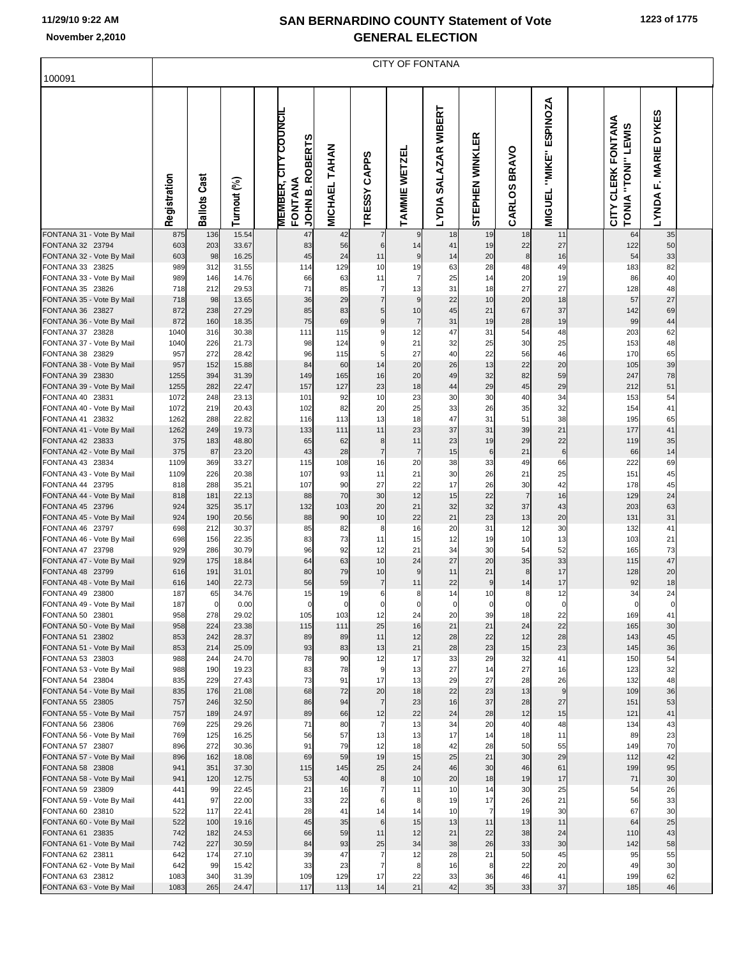| 100091                                        |              |                     |                |                                                           |                                |                                  | <b>CITY OF FONTANA</b> |                                                 |                        |                        |                                            |                                                       |                                          |  |
|-----------------------------------------------|--------------|---------------------|----------------|-----------------------------------------------------------|--------------------------------|----------------------------------|------------------------|-------------------------------------------------|------------------------|------------------------|--------------------------------------------|-------------------------------------------------------|------------------------------------------|--|
|                                               | Registration | <b>Ballots Cast</b> | Turnout (%)    | <b>MEMBER, CITY COUNCIL</b><br>JOHN B. ROBERTS<br>FONTANA | <b>TAHAN</b><br><b>MICHAEL</b> | TRESSY CAPPS                     | <b>AMMIE WETZEL</b>    | <b>WIBERT</b><br><b>SALAZAR</b><br><b>LYDIA</b> | 띥<br>STEPHEN WINKL     | <b>BRAVO</b><br>CARLOS | <b>ESPINOZA</b><br>"MIKE"<br><b>MIGUEL</b> | CITY CLERK FONTANA<br><b>LEWIS</b><br>"TONI"<br>TONIA | <b>MARIE DYKES</b><br>μĴ<br><b>LYNDA</b> |  |
| FONTANA 31 - Vote By Mail<br>FONTANA 32 23794 | 875<br>603   | 136<br>203          | 15.54<br>33.67 | 47<br>83                                                  | 42<br>56                       | 7<br>6                           | 9<br>14                | 18<br>41                                        | 19<br>19               | 18<br>22               | 11<br>27                                   | 64<br>122                                             | 35<br>50                                 |  |
| FONTANA 32 - Vote By Mail                     | 603          | 98                  | 16.25          | 45                                                        | 24                             | 11                               | 9                      | 14                                              | 20                     | 8                      | 16                                         | 54                                                    | 33                                       |  |
| FONTANA 33 23825                              | 989          | 312                 | 31.55          | 114                                                       | 129                            | 10                               | 19                     | 63                                              | 28                     | 48                     | 49                                         | 183                                                   | 82                                       |  |
| FONTANA 33 - Vote By Mail<br>FONTANA 35 23826 | 989<br>718   | 146<br>212          | 14.76<br>29.53 | 66<br>71                                                  | 63<br>85                       | 11<br>$\overline{7}$             | $\overline{7}$<br>13   | 25<br>31                                        | 14<br>18               | 20<br>27               | 19<br>27                                   | 86<br>128                                             | 40<br>48                                 |  |
| FONTANA 35 - Vote By Mail                     | 718          | 98                  | 13.65          | 36                                                        | 29                             | $\overline{7}$                   | 9                      | 22                                              | 10                     | 20                     | 18                                         | 57                                                    | 27                                       |  |
| FONTANA 36 23827                              | 872          | 238                 | 27.29          | 85                                                        | 83                             | 5 <sub>l</sub>                   | 10                     | 45                                              | 21                     | 67                     | 37                                         | 142                                                   | 69                                       |  |
| FONTANA 36 - Vote By Mail<br>FONTANA 37 23828 | 872<br>1040  | 160<br>316          | 18.35<br>30.38 | 75<br>111                                                 | 69<br>115                      | 9<br>9                           | $\overline{7}$<br>12   | 31<br>47                                        | 19<br>31               | 28<br>54               | 19<br>48                                   | 99<br>203                                             | 44<br>62                                 |  |
| FONTANA 37 - Vote By Mail                     | 1040         | 226                 | 21.73          | 98                                                        | 124                            | 9                                | 21                     | 32                                              | 25                     | 30                     | 25                                         | 153                                                   | 48                                       |  |
| FONTANA 38 23829                              | 957          | 272                 | 28.42          | 96                                                        | 115                            | 5                                | 27                     | 40                                              | 22                     | 56                     | 46                                         | 170                                                   | 65                                       |  |
| FONTANA 38 - Vote By Mail<br>FONTANA 39 23830 | 957<br>1255  | 152<br>394          | 15.88<br>31.39 | 84<br>149                                                 | 60<br>165                      | 14<br>16                         | 20<br>20               | 26<br>49                                        | 13<br>32               | 22<br>82               | 20<br>59                                   | 105<br>247                                            | 39<br>78                                 |  |
| FONTANA 39 - Vote By Mail                     | 1255         | 282                 | 22.47          | 157                                                       | 127                            | 23                               | 18                     | 44                                              | 29                     | 45                     | 29                                         | 212                                                   | 51                                       |  |
| FONTANA 40 23831                              | 1072         | 248                 | 23.13          | 101                                                       | 92                             | 10<br>20                         | 23                     | 30                                              | 30                     | 40                     | 34                                         | 153                                                   | 54                                       |  |
| FONTANA 40 - Vote By Mail<br>FONTANA 41 23832 | 1072<br>1262 | 219<br>288          | 20.43<br>22.82 | 102<br>116                                                | 82<br>113                      | 13                               | 25<br>18               | 33<br>47                                        | 26<br>31               | 35<br>51               | 32<br>38                                   | 154<br>195                                            | 41<br>65                                 |  |
| FONTANA 41 - Vote By Mail                     | 1262         | 249                 | 19.73          | 133                                                       | 111                            | 11                               | 23                     | 37                                              | 31                     | 39                     | 21                                         | 177                                                   | 41                                       |  |
| FONTANA 42 23833                              | 375<br>375   | 183                 | 48.80          | 65<br>43                                                  | 62                             | 8 <sup>1</sup><br>$\overline{7}$ | 11<br>$\overline{7}$   | 23<br>15                                        | 19                     | 29                     | 22<br>$6\phantom{1}6$                      | 119                                                   | 35                                       |  |
| FONTANA 42 - Vote By Mail<br>FONTANA 43 23834 | 1109         | 87<br>369           | 23.20<br>33.27 | 115                                                       | 28<br>108                      | 16                               | 20                     | 38                                              | $\,6$<br>33            | 21<br>49               | 66                                         | 66<br>222                                             | 14<br>69                                 |  |
| FONTANA 43 - Vote By Mail                     | 1109         | 226                 | 20.38          | 107                                                       | 93                             | 11                               | 21                     | 30                                              | 26                     | 21                     | 25                                         | 151                                                   | 45                                       |  |
| FONTANA 44 23795                              | 818          | 288                 | 35.21          | 107                                                       | 90                             | 27<br>30                         | 22                     | 17                                              | 26                     | 30<br>$\overline{7}$   | 42                                         | 178                                                   | 45                                       |  |
| FONTANA 44 - Vote By Mail<br>FONTANA 45 23796 | 818<br>924   | 181<br>325          | 22.13<br>35.17 | 88<br>132                                                 | 70<br>103                      | 20                               | 12<br>21               | 15<br>32                                        | 22<br>32               | 37                     | 16<br>43                                   | 129<br>203                                            | 24<br>63                                 |  |
| FONTANA 45 - Vote By Mail                     | 924          | 190                 | 20.56          | 88                                                        | 90                             | 10                               | 22                     | 21                                              | 23                     | 13                     | 20                                         | 131                                                   | 31                                       |  |
| FONTANA 46 23797                              | 698<br>698   | 212                 | 30.37<br>22.35 | 85<br>83                                                  | 82<br>73                       | 8<br>11                          | 16<br>15               | 20<br>12                                        | 31<br>19               | 12<br>10               | 30                                         | 132<br>103                                            | 41<br>21                                 |  |
| FONTANA 46 - Vote By Mail<br>FONTANA 47 23798 | 929          | 156<br>286          | 30.79          | 96                                                        | 92                             | 12                               | 21                     | 34                                              | 30                     | 54                     | 13<br>52                                   | 165                                                   | 73                                       |  |
| FONTANA 47 - Vote By Mail                     | 929          | 175                 | 18.84          | 64                                                        | 63                             | 10                               | 24                     | 27                                              | 20                     | 35                     | 33                                         | 115                                                   | 47                                       |  |
| FONTANA 48 23799                              | 616<br>616   | 191<br>140          | 31.01<br>22.73 | 80<br>56                                                  | 79<br>59                       | 10<br>$\overline{7}$             | 9<br>11                | 11<br>22                                        | 21<br>$\boldsymbol{9}$ | 8<br>14                | 17<br>17                                   | 128<br>92                                             | 20<br>18                                 |  |
| FONTANA 48 - Vote By Mail<br>FONTANA 49 23800 | 187          | 65                  | 34.76          | 15                                                        | 19                             | 6                                | 8 <sup>1</sup>         | 14                                              | 10                     | 8                      | 12                                         | 34                                                    | 24                                       |  |
| FONTANA 49 - Vote By Mail                     | 187          |                     | 0.00           |                                                           |                                |                                  |                        |                                                 |                        |                        |                                            |                                                       |                                          |  |
| FONTANA 50 23801<br>FONTANA 50 - Vote By Mail | 958<br>958   | 278<br>224          | 29.02<br>23.38 | 105<br>115                                                | 103<br>111                     | 12<br>25                         | 24<br>16               | 20<br>21                                        | 39<br>21               | 18<br>24               | 22<br>22                                   | 169<br>165                                            | 41<br>30                                 |  |
| FONTANA 51 23802                              | 853          | 242                 | 28.37          | 89                                                        | 89                             | 11                               | 12                     | 28                                              | 22                     | 12                     | 28                                         | 143                                                   | 45                                       |  |
| FONTANA 51 - Vote By Mail                     | 853          | 214                 | 25.09          | 93                                                        | 83                             | 13                               | 21                     | 28                                              | 23                     | 15                     | 23                                         | 145                                                   | 36                                       |  |
| FONTANA 53 23803<br>FONTANA 53 - Vote By Mail | 988<br>988   | 244<br>190          | 24.70<br>19.23 | 78<br>83                                                  | 90<br>78                       | 12<br>9                          | 17<br>13               | 33<br>27                                        | 29<br>14               | 32<br>27               | 41<br>16                                   | 150<br>123                                            | 54<br>32                                 |  |
| FONTANA 54 23804                              | 835          | 229                 | 27.43          | 73                                                        | 91                             | 17                               | 13                     | 29                                              | 27                     | 28                     | 26                                         | 132                                                   | 48                                       |  |
| FONTANA 54 - Vote By Mail                     | 835          | 176                 | 21.08          | 68                                                        | 72                             | 20                               | 18                     | 22                                              | 23                     | 13                     | 9                                          | 109                                                   | 36                                       |  |
| FONTANA 55 23805<br>FONTANA 55 - Vote By Mail | 757<br>757   | 246<br>189          | 32.50<br>24.97 | 86<br>89                                                  | 94<br>66                       | $\overline{7}$<br>12             | 23<br>22               | 16<br>24                                        | 37<br>28               | 28<br>12               | 27<br>15                                   | 151<br>121                                            | 53<br>41                                 |  |
| FONTANA 56 23806                              | 769          | 225                 | 29.26          | 71                                                        | 80                             | $\overline{7}$                   | 13                     | 34                                              | 20                     | 40                     | 48                                         | 134                                                   | 43                                       |  |
| FONTANA 56 - Vote By Mail                     | 769          | 125                 | 16.25          | 56                                                        | 57                             | 13                               | 13                     | 17                                              | 14                     | 18                     | 11                                         | 89                                                    | 23                                       |  |
| FONTANA 57 23807<br>FONTANA 57 - Vote By Mail | 896<br>896   | 272<br>162          | 30.36<br>18.08 | 91<br>69                                                  | 79<br>59                       | 12<br>19                         | 18<br>15               | 42<br>25                                        | 28<br>21               | 50<br>30               | 55<br>29                                   | 149<br>112                                            | 70<br>42                                 |  |
| FONTANA 58 23808                              | 941          | 351                 | 37.30          | 115                                                       | 145                            | 25                               | 24                     | 46                                              | 30                     | 46                     | 61                                         | 199                                                   | 95                                       |  |
| FONTANA 58 - Vote By Mail                     | 941          | 120                 | 12.75          | 53                                                        | 40                             | 8                                | 10                     | 20                                              | 18                     | 19                     | 17                                         | 71                                                    | 30                                       |  |
| FONTANA 59 23809<br>FONTANA 59 - Vote By Mail | 441<br>441   | 99<br>97            | 22.45<br>22.00 | 21<br>33                                                  | 16<br>22                       | 6                                | 11<br>8                | 10<br>19                                        | 14<br>17               | 30<br>26               | 25<br>21                                   | 54<br>56                                              | 26<br>33                                 |  |
| FONTANA 60 23810                              | 522          | 117                 | 22.41          | 28                                                        | 41                             | 14                               | 14                     | 10                                              | $\overline{7}$         | 19                     | 30                                         | 67                                                    | 30                                       |  |
| FONTANA 60 - Vote By Mail                     | 522          | 100                 | 19.16          | 45                                                        | 35                             | $6 \mid$                         | 15                     | 13                                              | 11                     | 13                     | 11                                         | 64                                                    | 25                                       |  |
| FONTANA 61 23835                              | 742<br>742   | 182<br>227          | 24.53<br>30.59 | 66<br>84                                                  | 59<br>93                       | 11<br>25                         | 12<br>34               | 21<br>38                                        | 22<br>26               | 38<br>33               | 24<br>30                                   | 110<br>142                                            | 43<br>58                                 |  |
| FONTANA 61 - Vote By Mail<br>FONTANA 62 23811 | 642          | 174                 | 27.10          | 39                                                        | 47                             | $\overline{7}$                   | 12                     | 28                                              | 21                     | 50                     | 45                                         | 95                                                    | 55                                       |  |
| FONTANA 62 - Vote By Mail                     | 642          | 99                  | 15.42          | 33                                                        | 23                             |                                  | 8                      | 16                                              | 8                      | 22                     | 20                                         | 49                                                    | 30                                       |  |
| FONTANA 63 23812                              | 1083         | 340                 | 31.39          | 109                                                       | 129                            | 17                               | 22                     | 33                                              | 36                     | 46                     | 41                                         | 199                                                   | 62                                       |  |
| FONTANA 63 - Vote By Mail                     | 1083         | 265                 | 24.47          | 117                                                       | 113                            | 14                               | 21                     | 42                                              | 35                     | 33                     | 37                                         | 185                                                   | 46                                       |  |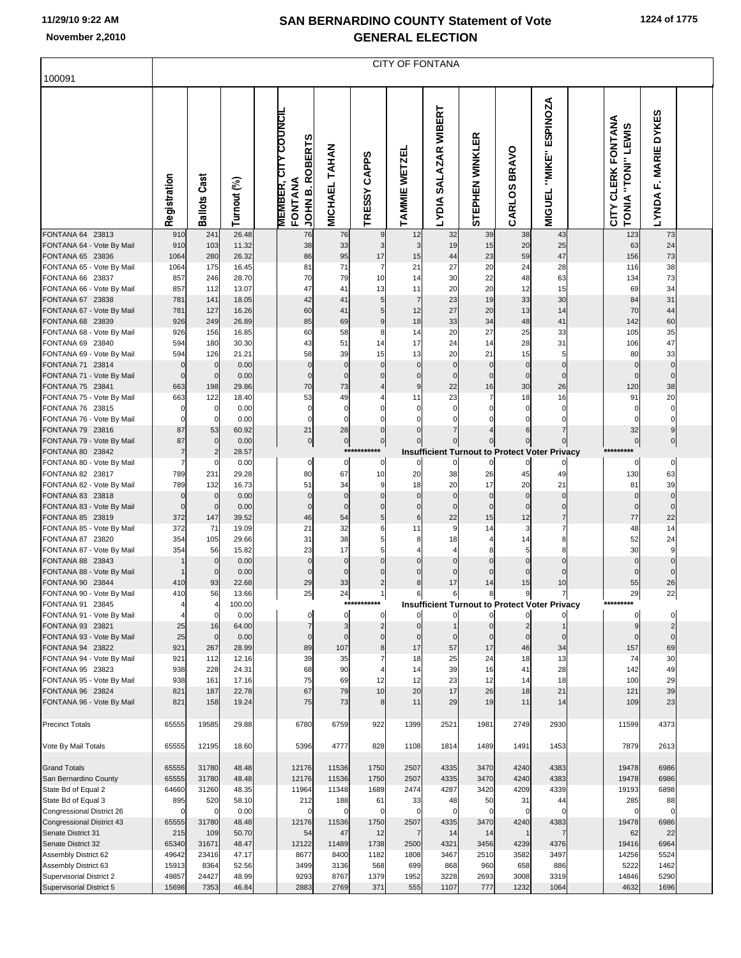| 100091                                               |                         |                            |                |                                        |                          |                                |                      |                               | <b>CITY OF FONTANA</b>                               |                               |                            |                                            |                                          |                                                    |  |
|------------------------------------------------------|-------------------------|----------------------------|----------------|----------------------------------------|--------------------------|--------------------------------|----------------------|-------------------------------|------------------------------------------------------|-------------------------------|----------------------------|--------------------------------------------|------------------------------------------|----------------------------------------------------|--|
|                                                      | Registration            | <b>Ballots Cast</b>        | Turnout (%)    | <b>MEMBER, CITY COUNCIL</b><br>FONTANA | JOHN B. ROBERTS          | <b>TAHAN</b><br><b>MICHAEL</b> | TRESSY CAPPS         | TAMMIE WETZEL                 | SALAZAR WIBERT<br><b>TADIV</b>                       | EŔ<br>STEPHEN WINKL           | <b>BRAVO</b><br>CARLOS     | <b>ESPINOZA</b><br>"MIKE"<br><b>MIGUEL</b> | CITY CLERK FONTANA<br>TONIA "TONI" LEWIS | <b>DYKES</b><br><b>MARIE</b><br>Ē.<br><b>LYNDA</b> |  |
| FONTANA 64 23813                                     | 910<br>910              | 241<br>103                 | 26.48<br>11.32 |                                        | 76<br>38                 | 76<br>33                       | 9<br>3               | 12<br>3                       | 32<br>19                                             | 39<br>15                      | 38<br>20                   | 43<br>25                                   | 123                                      | 73<br>24                                           |  |
| FONTANA 64 - Vote By Mail<br>FONTANA 65 23836        | 1064                    | 280                        | 26.32          |                                        | 86                       | 95                             | 17                   | 15                            | 44                                                   | 23                            | 59                         | 47                                         | 63<br>156                                | 73                                                 |  |
| FONTANA 65 - Vote By Mail                            | 1064                    | 175                        | 16.45          |                                        | 81                       | 71                             | $\overline{7}$       | 21                            | 27                                                   | 20                            | 24                         | 28                                         | 116                                      | 38                                                 |  |
| FONTANA 66 23837                                     | 857                     | 246                        | 28.70          |                                        | 70                       | 79                             | 10                   | 14                            | 30                                                   | 22                            | 48                         | 63                                         | 134                                      | 73                                                 |  |
| FONTANA 66 - Vote By Mail                            | 857                     | 112                        | 13.07          |                                        | 47                       | 41                             | 13                   | 11                            | 20                                                   | 20                            | 12                         | 15                                         | 69                                       | 34                                                 |  |
| FONTANA 67 23838                                     | 781                     | 141                        | 18.05          |                                        | 42                       | 41                             | 5                    | $\overline{7}$                | 23                                                   | 19                            | 33                         | 30                                         | 84                                       | 31                                                 |  |
| FONTANA 67 - Vote By Mail                            | 781                     | 127                        | 16.26          |                                        | 60                       | 41                             | 5                    | 12                            | 27                                                   | 20                            | 13                         | 14                                         | 70                                       | 44                                                 |  |
| FONTANA 68 23839<br>FONTANA 68 - Vote By Mail        | 926                     | 249                        | 26.89          |                                        | 85                       | 69                             | 9                    | 18                            | 33<br>20                                             | 34<br>27                      | 48<br>25                   | 41<br>33                                   | 142                                      | 60                                                 |  |
| FONTANA 69 23840                                     | 926<br>594              | 156<br>180                 | 16.85<br>30.30 |                                        | 60<br>43                 | 58<br>51                       | 8<br>14              | 14<br>17                      | 24                                                   | 14                            | 28                         | 31                                         | 105<br>106                               | 35<br>47                                           |  |
| FONTANA 69 - Vote By Mail                            | 594                     | 126                        | 21.21          |                                        | 58                       | 39                             | 15                   | 13                            | 20                                                   | 21                            | 15                         | 5                                          | 80                                       | 33                                                 |  |
| FONTANA 71 23814                                     | $\Omega$                | $\mathbf 0$                | 0.00           |                                        | $\Omega$                 | $\Omega$                       | $\Omega$             | $\mathbf 0$                   | $\mathbf 0$                                          | $\overline{0}$                | $\mathbf 0$                | $\mathbf 0$                                | $\epsilon$                               | $\Omega$                                           |  |
| FONTANA 71 - Vote By Mail                            | $\Omega$                | $\overline{0}$             | 0.00           |                                        | $\Omega$                 | $\Omega$                       |                      | $\mathbf 0$                   | $\mathbf 0$                                          | $\mathbf 0$                   | $\mathbf 0$                | $\Omega$                                   | $\mathsf{C}$                             |                                                    |  |
| FONTANA 75 23841                                     | 663                     | 198                        | 29.86          |                                        | 70                       | 73                             |                      | 9                             | 22                                                   | 16                            | 30                         | 26                                         | 120                                      | 38                                                 |  |
| FONTANA 75 - Vote By Mail                            | 663                     | 122                        | 18.40          |                                        | 53                       | 49                             |                      | 11                            | 23                                                   | 7                             | 18                         | 16                                         | 91                                       | 20                                                 |  |
| FONTANA 76 23815                                     |                         | $\mathbf 0$<br>$\mathbf 0$ | 0.00<br>0.00   |                                        | $\Omega$<br>$\Omega$     | $\mathbf 0$<br>$\Omega$        |                      | $\mathbf 0$<br>$\mathbf 0$    | $\Omega$                                             | $\Omega$<br>O                 | $\Omega$<br>$\Omega$       | $\Omega$<br>$\Omega$                       |                                          |                                                    |  |
| FONTANA 76 - Vote By Mail<br>FONTANA 79 23816        | 87                      | 53                         | 60.92          |                                        | 21                       | 28                             | $\Omega$             | $\mathbf 0$                   |                                                      |                               | 6                          | $\overline{7}$                             | 32                                       |                                                    |  |
| FONTANA 79 - Vote By Mail                            | 87                      | $\mathbf 0$                | 0.00           |                                        | $\bf{0}$                 | $\overline{0}$                 | $\mathbf 0$          |                               | 0                                                    |                               |                            | $\mathbf 0$                                | $\Omega$                                 | 0                                                  |  |
| FONTANA 80 23842                                     | $\overline{7}$          | $\overline{c}$             | 28.57          |                                        |                          |                                | ***********          |                               | <b>Insufficient Turnout to Protect Voter Privacy</b> |                               |                            |                                            | *********                                |                                                    |  |
| FONTANA 80 - Vote By Mail                            |                         | $\Omega$                   | 0.00           |                                        | $\mathbf 0$              | $\mathbf 0$                    | $\Omega$             | $\mathbf 0$                   | $\Omega$                                             | 0                             | $\Omega$                   |                                            | 0                                        | $\mathbf 0$                                        |  |
| FONTANA 82 23817                                     | 789                     | 231                        | 29.28          |                                        | 80                       | 67                             | 10                   | 20                            | 38                                                   | 26                            | 45                         | 49                                         | 130                                      | 63                                                 |  |
| FONTANA 82 - Vote By Mail                            | 789                     | 132                        | 16.73          |                                        | 51                       | 34                             | 9                    | 18                            | 20                                                   | 17                            | 20                         | 21                                         | 81                                       | 39                                                 |  |
| FONTANA 83 23818<br>FONTANA 83 - Vote By Mail        | $\mathbf 0$<br>$\Omega$ | $\mathbf 0$<br>$\mathbf 0$ | 0.00<br>0.00   |                                        | $\mathbf{0}$<br>$\Omega$ | $\Omega$<br>$\Omega$           | $\Omega$<br>$\Omega$ | $\overline{0}$<br>$\mathbf 0$ | $\mathbf 0$<br>$\mathbf 0$                           | $\overline{0}$<br>$\mathbf 0$ | $\mathbf 0$<br>$\mathbf 0$ | $\mathbf 0$<br>$\mathbf 0$                 | $\mathbf 0$<br>$\epsilon$                | $\Omega$                                           |  |
| FONTANA 85 23819                                     | 372                     | 147                        | 39.52          |                                        | 46                       | 54                             | 5                    | 6                             | 22                                                   | 15                            | 12                         | $\overline{7}$                             | 77                                       | 22                                                 |  |
| FONTANA 85 - Vote By Mail                            | 372                     | 71                         | 19.09          |                                        | 21                       | 32                             | 6                    | 11                            | 9                                                    | 14                            | 3                          | $\overline{7}$                             | 48                                       | 14                                                 |  |
| FONTANA 87 23820                                     | 354                     | 105                        | 29.66          |                                        | 31                       | 38                             | 5                    | 8 <sup>1</sup>                | 18                                                   | 4                             | 14                         | 8                                          | 52                                       | 24                                                 |  |
| FONTANA 87 - Vote By Mail                            | 354                     | 56                         | 15.82          |                                        | 23                       | 17                             | 5                    | $\overline{4}$                |                                                      | 8                             | 5                          | 8                                          | 30                                       |                                                    |  |
| FONTANA 88 23843                                     |                         | $\mathbf 0$                | 0.00           |                                        | $\Omega$                 | $\mathbf 0$                    | $\Omega$             | $\overline{0}$                | $\mathbf 0$                                          | $\mathbf{0}$                  | $\Omega$                   | $\mathbf 0$                                | $\epsilon$                               |                                                    |  |
| FONTANA 88 - Vote By Mail<br>FONTANA 90 23844        | 410                     | $\mathbf 0$<br>93          | 0.00<br>22.68  |                                        | $\Omega$<br>29           | $\Omega$<br>33                 | 0<br>2               | $\mathbf 0$<br>8              | $\Omega$<br>17                                       | $\Omega$<br>14                | $\Omega$<br>15             | $\Omega$<br>10                             | 55                                       | 26                                                 |  |
| FONTANA 90 - Vote By Mail                            | 410                     | 56                         | 13.66          |                                        | 25                       | 24                             | 1                    | 6                             | 6                                                    | 8                             | 9                          | 7                                          | 29                                       | 22                                                 |  |
| FONTANA 91 23845                                     |                         |                            | 00.00          |                                        |                          |                                |                      |                               | <b>Insurficient Turnout to Protect Voter Privacy</b> |                               |                            |                                            |                                          |                                                    |  |
| FONTANA 91 - Vote By Mail                            |                         | $\mathbf 0$                | 0.00           |                                        | 0                        | $\Omega$                       | $\Omega$             | $\mathbf{0}$                  | $\mathbf{0}$                                         | $\overline{0}$                | 0                          |                                            | $\mathbf 0$                              | 0                                                  |  |
| FONTANA 93 23821                                     | 25                      | 16                         | 64.00          |                                        | $\overline{7}$           | 3                              |                      | $\overline{0}$                |                                                      | 0                             |                            |                                            |                                          |                                                    |  |
| FONTANA 93 - Vote By Mail                            | 25                      | $\mathbf 0$                | 0.00           |                                        | $\mathbf 0$              | $\Omega$                       | $\Omega$             | $\Omega$                      | $\mathbf{0}$                                         | $\mathbf{0}$                  | $\mathbf{0}$               | $\mathbf{0}$                               | $\epsilon$                               | $\mathbf 0$                                        |  |
| FONTANA 94 23822<br>FONTANA 94 - Vote By Mail        | 921<br>921              | 267<br>112                 | 28.99<br>12.16 |                                        | 89<br>39                 | 107<br>35                      | 8                    | 17<br>18                      | 57<br>25                                             | 17<br>24                      | 46<br>18                   | 34<br>13                                   | 157<br>74                                | 69<br>30                                           |  |
| FONTANA 95 23823                                     | 938                     | 228                        | 24.31          |                                        | 68                       | 90                             |                      | 14                            | 39                                                   | 16                            | 41                         | 28                                         | 142                                      | 49                                                 |  |
| FONTANA 95 - Vote By Mail                            | 938                     | 161                        | 17.16          |                                        | 75                       | 69                             | 12                   | 12                            | 23                                                   | 12                            | 14                         | 18                                         | 100                                      | 29                                                 |  |
| FONTANA 96 23824<br>FONTANA 96 - Vote By Mail        | 821<br>821              | 187<br>158                 | 22.78<br>19.24 |                                        | 67<br>75                 | 79<br>73                       | 10<br>8              | 20<br>11                      | 17<br>29                                             | 26<br>19                      | 18<br>11                   | 21<br>14                                   | 121<br>109                               | 39<br>23                                           |  |
| <b>Precinct Totals</b>                               | 65555                   | 19585                      | 29.88          |                                        | 6780                     | 6759                           | 922                  | 1399                          | 2521                                                 | 1981                          | 2749                       | 2930                                       | 11599                                    | 4373                                               |  |
| Vote By Mail Totals                                  | 65555                   | 12195                      | 18.60          |                                        | 5396                     | 4777                           | 828                  | 1108                          | 1814                                                 | 1489                          | 1491                       | 1453                                       | 7879                                     | 2613                                               |  |
| <b>Grand Totals</b>                                  | 65555                   | 31780                      | 48.48          |                                        | 12176                    | 11536                          | 1750                 | 2507                          | 4335                                                 | 3470                          | 4240                       | 4383                                       | 19478                                    | 6986                                               |  |
| San Bernardino County                                | 65555                   | 31780                      | 48.48          |                                        | 12176                    | 11536                          | 1750                 | 2507                          | 4335                                                 | 3470                          | 4240                       | 4383                                       | 19478                                    | 6986                                               |  |
| State Bd of Equal 2<br>State Bd of Equal 3           | 64660<br>895            | 31260<br>520               | 48.35<br>58.10 |                                        | 11964<br>212             | 11348<br>188                   | 1689<br>61           | 2474<br>33                    | 4287<br>48                                           | 3420<br>50                    | 4209<br>31                 | 4339<br>44                                 | 19193<br>285                             | 6898<br>88                                         |  |
| Congressional District 26                            |                         | $\Omega$                   | 0.00           |                                        | $\Omega$                 | $\mathsf{C}$                   | $\Omega$             | $\mathbf 0$                   | $\mathbf 0$                                          | $\mathbf 0$                   | 0                          | $\Omega$                                   |                                          |                                                    |  |
| <b>Congressional District 43</b>                     | 65555                   | 31780                      | 48.48          |                                        | 12176                    | 11536                          | 1750                 | 2507                          | 4335                                                 | 3470                          | 4240                       | 4383                                       | 19478                                    | 6986                                               |  |
| Senate District 31                                   | 215                     | 109                        | 50.70          |                                        | 54                       | 47                             | 12                   | $\overline{7}$                | 14                                                   | 14                            | 1                          |                                            | 62                                       | 22                                                 |  |
| Senate District 32                                   | 65340                   | 31671                      | 48.47          |                                        | 12122                    | 11489                          | 1738                 | 2500                          | 4321                                                 | 3456                          | 4239                       | 4376                                       | 19416                                    | 6964                                               |  |
| Assembly District 62                                 | 49642                   | 23416                      | 47.17          |                                        | 8677                     | 8400                           | 1182                 | 1808                          | 3467                                                 | 2510                          | 3582                       | 3497                                       | 14256                                    | 5524                                               |  |
| Assembly District 63                                 | 15913                   | 8364                       | 52.56          |                                        | 3499                     | 3136                           | 568                  | 699                           | 868<br>3228                                          | 960                           | 658                        | 886                                        | 5222                                     | 1462                                               |  |
| Supervisorial District 2<br>Supervisorial District 5 | 49857<br>15698          | 24427<br>7353              | 48.99<br>46.84 |                                        | 9293<br>2883             | 8767<br>2769                   | 1379<br>371          | 1952<br>555                   | 1107                                                 | 2693<br>777                   | 3008<br>1232               | 3319<br>1064                               | 14846<br>4632                            | 5290<br>1696                                       |  |